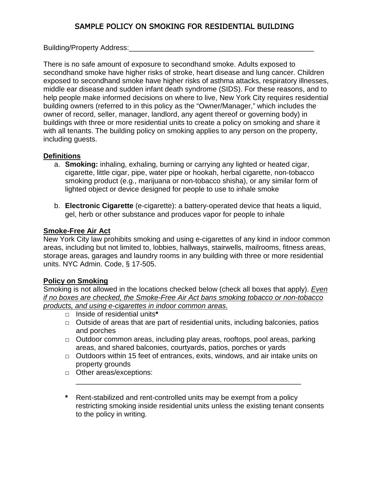# SAMPLE POLICY ON SMOKING FOR RESIDENTIAL BUILDING

Building/Property Address:

There is no safe amount of exposure to secondhand smoke. Adults exposed to secondhand smoke have higher risks of stroke, heart disease and lung cancer. Children exposed to secondhand smoke have higher risks of asthma attacks, respiratory illnesses, middle ear disease and sudden infant death syndrome (SIDS). For these reasons, and to help people make informed decisions on where to live, New York City requires residential building owners (referred to in this policy as the "Owner/Manager," which includes the owner of record, seller, manager, landlord, any agent thereof or governing body) in buildings with three or more residential units to create a policy on smoking and share it with all tenants. The building policy on smoking applies to any person on the property, including guests.

## **Definitions**

- a. **Smoking:** inhaling, exhaling, burning or carrying any lighted or heated cigar, cigarette, little cigar, pipe, water pipe or hookah, herbal cigarette, non-tobacco smoking product (e.g., marijuana or non-tobacco shisha), or any similar form of lighted object or device designed for people to use to inhale smoke
- b. **Electronic Cigarette** (e-cigarette): a battery-operated device that heats a liquid, gel, herb or other substance and produces vapor for people to inhale

## **Smoke-Free Air Act**

New York City law prohibits smoking and using e-cigarettes of any kind in indoor common areas, including but not limited to, lobbies, hallways, stairwells, mailrooms, fitness areas, storage areas, garages and laundry rooms in any building with three or more residential units. NYC Admin. Code, § 17-505.

## **Policy on Smoking**

Smoking is not allowed in the locations checked below (check all boxes that apply). *Even if no boxes are checked, the Smoke-Free Air Act bans smoking tobacco or non-tobacco products, and using e-cigarettes in indoor common areas.*

- **□** Inside of residential units**\***
- **□** Outside of areas that are part of residential units, including balconies, patios and porches
- **□** Outdoor common areas, including play areas, rooftops, pool areas, parking areas, and shared balconies, courtyards, patios, porches or yards
- **□** Outdoors within 15 feet of entrances, exits, windows, and air intake units on property grounds

\_\_\_\_\_\_\_\_\_\_\_\_\_\_\_\_\_\_\_\_\_\_\_\_\_\_\_\_\_\_\_\_\_\_\_\_\_\_\_\_\_\_\_\_\_\_\_\_\_\_\_\_\_\_\_\_

- **□** Other areas/exceptions:
- **\*** Rent-stabilized and rent-controlled units may be exempt from a policy restricting smoking inside residential units unless the existing tenant consents to the policy in writing.